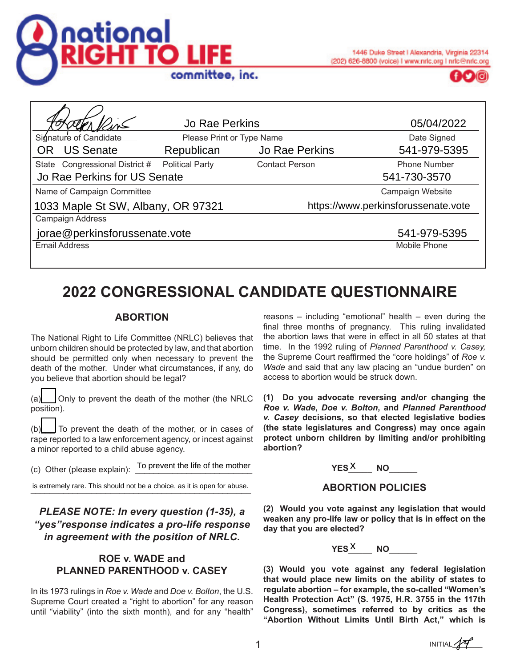



| <b>Jo Rae Perkins</b>              |                           | 05/04/2022            |                                     |  |
|------------------------------------|---------------------------|-----------------------|-------------------------------------|--|
| Signature of Candidate             | Please Print or Type Name |                       | Date Signed                         |  |
| OR US Senate                       | Republican                | Jo Rae Perkins        | 541-979-5395                        |  |
| State Congressional District #     | <b>Political Party</b>    | <b>Contact Person</b> | <b>Phone Number</b>                 |  |
| Jo Rae Perkins for US Senate       |                           |                       | 541-730-3570                        |  |
| Name of Campaign Committee         |                           |                       | Campaign Website                    |  |
| 1033 Maple St SW, Albany, OR 97321 |                           |                       | https://www.perkinsforussenate.vote |  |
| Campaign Address                   |                           |                       |                                     |  |
| jorae@perkinsforussenate.vote      |                           |                       | 541-979-5395                        |  |
| <b>Email Address</b>               |                           |                       | Mobile Phone                        |  |

# **2022 CONGRESSIONAL CANDIDATE QUESTIONNAIRE**

## **ABORTION**

The National Right to Life Committee (NRLC) believes that unborn children should be protected by law, and that abortion should be permitted only when necessary to prevent the death of the mother. Under what circumstances, if any, do you believe that abortion should be legal?

(a)\_\_\_ Only to prevent the death of the mother (the NRLC position).

(b)\_\_\_ To prevent the death of the mother, or in cases of rape reported to a law enforcement agency, or incest against a minor reported to a child abuse agency.

(c) Other (please explain):  $\frac{1}{2}$  To prevent the life of the mother  $YES_X$ 

is extremely rare. This should not be a choice, as it is open for abuse.

*PLEASE NOTE: In every question (1-35), a "yes"response indicates a pro-life response in agreement with the position of NRLC.*

## **ROE v. WADE and PLANNED PARENTHOOD v. CASEY**

In its 1973 rulings in *Roe v. Wade* and *Doe v. Bolton*, the U.S. Supreme Court created a "right to abortion" for any reason until "viability" (into the sixth month), and for any "health"

reasons – including "emotional" health – even during the final three months of pregnancy. This ruling invalidated the abortion laws that were in effect in all 50 states at that time. In the 1992 ruling of *Planned Parenthood v. Casey,* the Supreme Court reaffirmed the "core holdings" of *Roe v. Wade* and said that any law placing an "undue burden" on access to abortion would be struck down.

**(1) Do you advocate reversing and/or changing the**  *Roe v. Wade***,** *Doe v. Bolton***, and** *Planned Parenthood v. Casey* **decisions, so that elected legislative bodies (the state legislatures and Congress) may once again protect unborn children by limiting and/or prohibiting abortion?**



## **ABORTION POLICIES**

**(2) Would you vote against any legislation that would weaken any pro-life law or policy that is in effect on the day that you are elected?**

**YES**<sup>X</sup>\_\_\_\_\_ NO\_\_\_\_\_\_\_

**(3) Would you vote against any federal legislation that would place new limits on the ability of states to regulate abortion – for example, the so-called "Women's Health Protection Act" (S. 1975, H.R. 3755 in the 117th Congress), sometimes referred to by critics as the "Abortion Without Limits Until Birth Act," which is** 

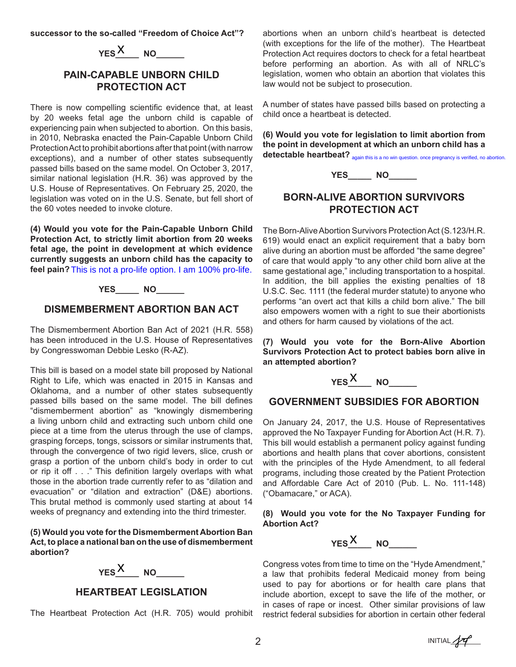**successor to the so-called "Freedom of Choice Act"?**

 $YES$ <sup>X</sup> NO

## **PAIN-CAPABLE UNBORN CHILD PROTECTION ACT**

There is now compelling scientific evidence that, at least by 20 weeks fetal age the unborn child is capable of experiencing pain when subjected to abortion. On this basis, in 2010, Nebraska enacted the Pain-Capable Unborn Child Protection Act to prohibit abortions after that point (with narrow exceptions), and a number of other states subsequently passed bills based on the same model. On October 3, 2017, similar national legislation (H.R. 36) was approved by the U.S. House of Representatives. On February 25, 2020, the legislation was voted on in the U.S. Senate, but fell short of the 60 votes needed to invoke cloture. **EXALUAT CONTROUT AND AND CONTROM CONTROM ACT**<br> **EXECUTION ACT**<br> **EXECUTION ACT**<br> **EXECUTION ACT**<br> **EXECUTION ACT**<br> **EXECUTION ACT**<br> **EXECUTION** and the unborn child is capable of<br>  $\alpha$  pro-life option. In this basis,<br>
ab

**(4) Would you vote for the Pain-Capable Unborn Child Protection Act, to strictly limit abortion from 20 weeks fetal age, the point in development at which evidence currently suggests an unborn child has the capacity to**  feel pain? This is not a pro-life option. I am 100% pro-life.

#### **YES\_\_\_\_\_ NO\_\_\_\_\_\_**

### **DISMEMBERMENT ABORTION BAN ACT**

The Dismemberment Abortion Ban Act of 2021 (H.R. 558) has been introduced in the U.S. House of Representatives by Congresswoman Debbie Lesko (R-AZ).

This bill is based on a model state bill proposed by National Right to Life, which was enacted in 2015 in Kansas and Oklahoma, and a number of other states subsequently passed bills based on the same model. The bill defines "dismemberment abortion" as "knowingly dismembering a living unborn child and extracting such unborn child one piece at a time from the uterus through the use of clamps, grasping forceps, tongs, scissors or similar instruments that, through the convergence of two rigid levers, slice, crush or grasp a portion of the unborn child's body in order to cut or rip it off . . ." This definition largely overlaps with what those in the abortion trade currently refer to as "dilation and evacuation" or "dilation and extraction" (D&E) abortions. This brutal method is commonly used starting at about 14 weeks of pregnancy and extending into the third trimester.

**(5) Would you vote for the Dismemberment Abortion Ban Act, to place a national ban on the use of dismemberment abortion?**

**YES**<sup>*X*</sup>\_\_\_\_ NO\_\_\_\_\_\_\_

**HEARTBEAT LEGISLATION**

The Heartbeat Protection Act (H.R. 705) would prohibit

abortions when an unborn child's heartbeat is detected (with exceptions for the life of the mother). The Heartbeat Protection Act requires doctors to check for a fetal heartbeat before performing an abortion. As with all of NRLC's legislation, women who obtain an abortion that violates this law would not be subject to prosecution.

A number of states have passed bills based on protecting a child once a heartbeat is detected.

**(6) Would you vote for legislation to limit abortion from the point in development at which an unborn child has a**  detectable heartbeat? <sub>again this is a no win question, once pregnancy is verified, no abortion.</sub>



# **BORN-ALIVE ABORTION SURVIVORS PROTECTION ACT**

The Born-Alive Abortion Survivors Protection Act (S.123/H.R. 619) would enact an explicit requirement that a baby born alive during an abortion must be afforded "the same degree" of care that would apply "to any other child born alive at the same gestational age," including transportation to a hospital. In addition, the bill applies the existing penalties of 18 U.S.C. Sec. 1111 (the federal murder statute) to anyone who performs "an overt act that kills a child born alive." The bill also empowers women with a right to sue their abortionists and others for harm caused by violations of the act.

**(7) Would you vote for the Born-Alive Abortion Survivors Protection Act to protect babies born alive in an attempted abortion?**

**YES**<sup>*X*</sup>\_\_\_\_ NO\_\_\_\_\_\_\_

## **GOVERNMENT SUBSIDIES FOR ABORTION**

On January 24, 2017, the U.S. House of Representatives approved the No Taxpayer Funding for Abortion Act (H.R. 7). This bill would establish a permanent policy against funding abortions and health plans that cover abortions, consistent with the principles of the Hyde Amendment, to all federal programs, including those created by the Patient Protection and Affordable Care Act of 2010 (Pub. L. No. 111-148) ("Obamacare," or ACA).

#### **(8) Would you vote for the No Taxpayer Funding for Abortion Act?**



Congress votes from time to time on the "Hyde Amendment," a law that prohibits federal Medicaid money from being used to pay for abortions or for health care plans that include abortion, except to save the life of the mother, or in cases of rape or incest. Other similar provisions of law restrict federal subsidies for abortion in certain other federal

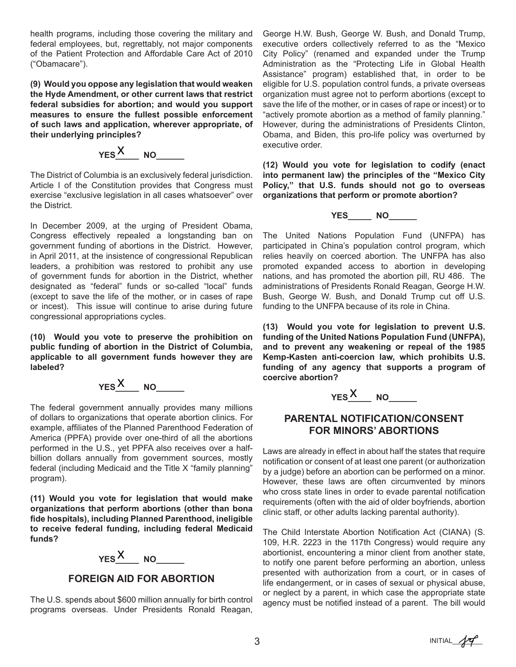health programs, including those covering the military and federal employees, but, regrettably, not major components of the Patient Protection and Affordable Care Act of 2010 ("Obamacare").

**(9) Would you oppose any legislation that would weaken the Hyde Amendment, or other current laws that restrict federal subsidies for abortion; and would you support measures to ensure the fullest possible enforcement of such laws and application, wherever appropriate, of their underlying principles?** 

**YES**<sup>*X*</sup>\_\_\_\_ NO\_\_\_\_\_\_\_

The District of Columbia is an exclusively federal jurisdiction. Article I of the Constitution provides that Congress must exercise "exclusive legislation in all cases whatsoever" over the District.

In December 2009, at the urging of President Obama, Congress effectively repealed a longstanding ban on government funding of abortions in the District. However, in April 2011, at the insistence of congressional Republican leaders, a prohibition was restored to prohibit any use of government funds for abortion in the District, whether designated as "federal" funds or so-called "local" funds (except to save the life of the mother, or in cases of rape or incest). This issue will continue to arise during future congressional appropriations cycles.

**(10) Would you vote to preserve the prohibition on public funding of abortion in the District of Columbia, applicable to all government funds however they are labeled?**

**YES**<sup>*X*</sup>\_\_\_\_ NO\_\_\_\_\_\_\_

The federal government annually provides many millions of dollars to organizations that operate abortion clinics. For example, affiliates of the Planned Parenthood Federation of America (PPFA) provide over one-third of all the abortions performed in the U.S., yet PPFA also receives over a halfbillion dollars annually from government sources, mostly federal (including Medicaid and the Title X "family planning" program).

**(11) Would you vote for legislation that would make organizations that perform abortions (other than bona fide hospitals), including Planned Parenthood, ineligible to receive federal funding, including federal Medicaid funds?**

**YES**<sup>*X*</sup>\_\_\_\_ NO\_\_\_\_\_\_\_

## **FOREIGN AID FOR ABORTION**

The U.S. spends about \$600 million annually for birth control programs overseas. Under Presidents Ronald Reagan,

George H.W. Bush, George W. Bush, and Donald Trump, executive orders collectively referred to as the "Mexico City Policy" (renamed and expanded under the Trump Administration as the "Protecting Life in Global Health Assistance" program) established that, in order to be eligible for U.S. population control funds, a private overseas organization must agree not to perform abortions (except to save the life of the mother, or in cases of rape or incest) or to "actively promote abortion as a method of family planning." However, during the administrations of Presidents Clinton, Obama, and Biden, this pro-life policy was overturned by executive order.

**(12) Would you vote for legislation to codify (enact into permanent law) the principles of the "Mexico City Policy," that U.S. funds should not go to overseas organizations that perform or promote abortion?**

**YES\_\_\_\_\_ NO\_\_\_\_\_\_**

The United Nations Population Fund (UNFPA) has participated in China's population control program, which relies heavily on coerced abortion. The UNFPA has also promoted expanded access to abortion in developing nations, and has promoted the abortion pill, RU 486. The administrations of Presidents Ronald Reagan, George H.W. Bush, George W. Bush, and Donald Trump cut off U.S. funding to the UNFPA because of its role in China.

**(13) Would you vote for legislation to prevent U.S. funding of the United Nations Population Fund (UNFPA), and to prevent any weakening or repeal of the 1985 Kemp-Kasten anti-coercion law, which prohibits U.S. funding of any agency that supports a program of coercive abortion?**

**YES**<sup>*X*</sup>\_\_\_\_ NO\_\_\_\_\_\_\_

## **PARENTAL NOTIFICATION/CONSENT FOR MINORS' ABORTIONS**

Laws are already in effect in about half the states that require notification or consent of at least one parent (or authorization by a judge) before an abortion can be performed on a minor. However, these laws are often circumvented by minors who cross state lines in order to evade parental notification requirements (often with the aid of older boyfriends, abortion clinic staff, or other adults lacking parental authority).

The Child Interstate Abortion Notification Act (CIANA) (S. 109, H.R. 2223 in the 117th Congress) would require any abortionist, encountering a minor client from another state, to notify one parent before performing an abortion, unless presented with authorization from a court, or in cases of life endangerment, or in cases of sexual or physical abuse, or neglect by a parent, in which case the appropriate state agency must be notified instead of a parent. The bill would

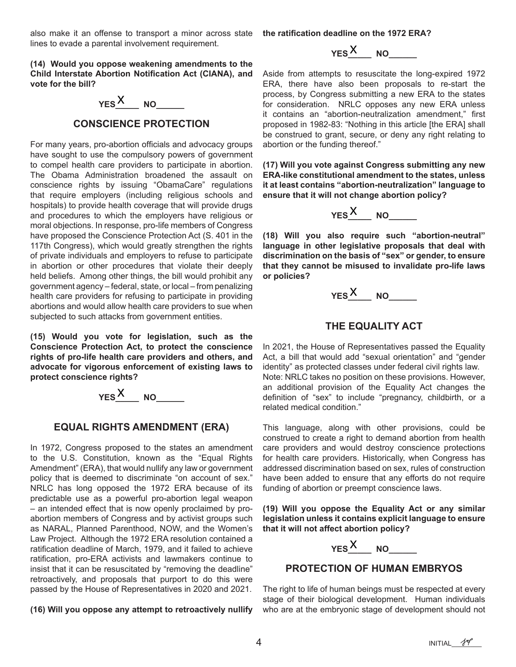also make it an offense to transport a minor across state lines to evade a parental involvement requirement.

**(14) Would you oppose weakening amendments to the Child Interstate Abortion Notification Act (CIANA), and vote for the bill?**



### **CONSCIENCE PROTECTION**

For many years, pro-abortion officials and advocacy groups have sought to use the compulsory powers of government to compel health care providers to participate in abortion. The Obama Administration broadened the assault on conscience rights by issuing "ObamaCare" regulations that require employers (including religious schools and hospitals) to provide health coverage that will provide drugs and procedures to which the employers have religious or moral objections. In response, pro-life members of Congress have proposed the Conscience Protection Act (S. 401 in the 117th Congress), which would greatly strengthen the rights of private individuals and employers to refuse to participate in abortion or other procedures that violate their deeply held beliefs. Among other things, the bill would prohibit any government agency – federal, state, or local – from penalizing health care providers for refusing to participate in providing abortions and would allow health care providers to sue when subjected to such attacks from government entities.

**(15) Would you vote for legislation, such as the Conscience Protection Act, to protect the conscience rights of pro-life health care providers and others, and advocate for vigorous enforcement of existing laws to protect conscience rights?**

$$
YES \xrightarrow{X} NO
$$

### **EQUAL RIGHTS AMENDMENT (ERA)**

In 1972, Congress proposed to the states an amendment to the U.S. Constitution, known as the "Equal Rights Amendment" (ERA), that would nullify any law or government policy that is deemed to discriminate "on account of sex." NRLC has long opposed the 1972 ERA because of its predictable use as a powerful pro-abortion legal weapon – an intended effect that is now openly proclaimed by proabortion members of Congress and by activist groups such as NARAL, Planned Parenthood, NOW, and the Women's Law Project. Although the 1972 ERA resolution contained a ratification deadline of March, 1979, and it failed to achieve ratification, pro-ERA activists and lawmakers continue to insist that it can be resuscitated by "removing the deadline" retroactively, and proposals that purport to do this were passed by the House of Representatives in 2020 and 2021.

**(16) Will you oppose any attempt to retroactively nullify** 

**the ratification deadline on the 1972 ERA?**

# **YES**<sup>*X*</sup>\_\_\_\_ NO\_\_\_\_\_\_\_

Aside from attempts to resuscitate the long-expired 1972 ERA, there have also been proposals to re-start the process, by Congress submitting a new ERA to the states for consideration. NRLC opposes any new ERA unless it contains an "abortion-neutralization amendment," first proposed in 1982-83: "Nothing in this article [the ERA] shall be construed to grant, secure, or deny any right relating to abortion or the funding thereof."

**(17) Will you vote against Congress submitting any new ERA-like constitutional amendment to the states, unless it at least contains "abortion-neutralization" language to ensure that it will not change abortion policy?**



**(18) Will you also require such "abortion-neutral" language in other legislative proposals that deal with discrimination on the basis of "sex" or gender, to ensure that they cannot be misused to invalidate pro-life laws or policies?**

**YES**<sup>*X*</sup>\_\_\_\_ NO\_\_\_\_\_\_\_

## **THE EQUALITY ACT**

In 2021, the House of Representatives passed the Equality Act, a bill that would add "sexual orientation" and "gender identity" as protected classes under federal civil rights law. Note: NRLC takes no position on these provisions. However, an additional provision of the Equality Act changes the definition of "sex" to include "pregnancy, childbirth, or a related medical condition."

This language, along with other provisions, could be construed to create a right to demand abortion from health care providers and would destroy conscience protections for health care providers. Historically, when Congress has addressed discrimination based on sex, rules of construction have been added to ensure that any efforts do not require funding of abortion or preempt conscience laws.

**(19) Will you oppose the Equality Act or any similar legislation unless it contains explicit language to ensure that it will not affect abortion policy?**



### **PROTECTION OF HUMAN EMBRYOS**

The right to life of human beings must be respected at every stage of their biological development. Human individuals who are at the embryonic stage of development should not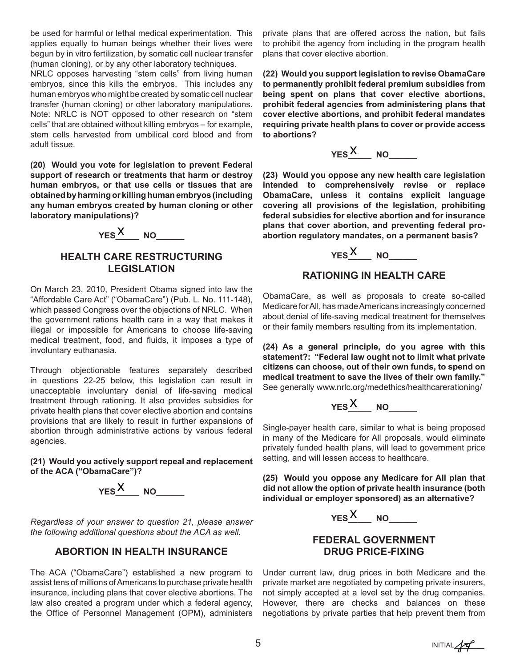be used for harmful or lethal medical experimentation. This applies equally to human beings whether their lives were begun by in vitro fertilization, by somatic cell nuclear transfer (human cloning), or by any other laboratory techniques.

NRLC opposes harvesting "stem cells" from living human embryos, since this kills the embryos. This includes any human embryos who might be created by somatic cell nuclear transfer (human cloning) or other laboratory manipulations. Note: NRLC is NOT opposed to other research on "stem cells" that are obtained without killing embryos – for example, stem cells harvested from umbilical cord blood and from adult tissue.

**(20) Would you vote for legislation to prevent Federal support of research or treatments that harm or destroy human embryos, or that use cells or tissues that are obtained by harming or killing human embryos (including any human embryos created by human cloning or other laboratory manipulations)?**



## **HEALTH CARE RESTRUCTURING LEGISLATION**

On March 23, 2010, President Obama signed into law the "Affordable Care Act" ("ObamaCare") (Pub. L. No. 111-148), which passed Congress over the objections of NRLC. When the government rations health care in a way that makes it illegal or impossible for Americans to choose life-saving medical treatment, food, and fluids, it imposes a type of involuntary euthanasia.

Through objectionable features separately described in questions 22-25 below, this legislation can result in unacceptable involuntary denial of life-saving medical treatment through rationing. It also provides subsidies for private health plans that cover elective abortion and contains provisions that are likely to result in further expansions of abortion through administrative actions by various federal agencies.

**(21) Would you actively support repeal and replacement of the ACA ("ObamaCare")?**



*Regardless of your answer to question 21, please answer the following additional questions about the ACA as well.*

## **ABORTION IN HEALTH INSURANCE**

The ACA ("ObamaCare") established a new program to assist tens of millions of Americans to purchase private health insurance, including plans that cover elective abortions. The law also created a program under which a federal agency, the Office of Personnel Management (OPM), administers private plans that are offered across the nation, but fails to prohibit the agency from including in the program health plans that cover elective abortion.

**(22) Would you support legislation to revise ObamaCare to permanently prohibit federal premium subsidies from being spent on plans that cover elective abortions, prohibit federal agencies from administering plans that cover elective abortions, and prohibit federal mandates requiring private health plans to cover or provide access to abortions?**



**(23) Would you oppose any new health care legislation intended to comprehensively revise or replace ObamaCare, unless it contains explicit language covering all provisions of the legislation, prohibiting federal subsidies for elective abortion and for insurance plans that cover abortion, and preventing federal proabortion regulatory mandates, on a permanent basis?**

**YES**<sup>*X*</sup>\_\_\_\_ NO\_\_\_\_\_\_\_

## **RATIONING IN HEALTH CARE**

ObamaCare, as well as proposals to create so-called Medicare for All, has made Americans increasingly concerned about denial of life-saving medical treatment for themselves or their family members resulting from its implementation.

**(24) As a general principle, do you agree with this statement?: "Federal law ought not to limit what private citizens can choose, out of their own funds, to spend on medical treatment to save the lives of their own family."**  See generally www.nrlc.org/medethics/healthcarerationing/



Single-payer health care, similar to what is being proposed in many of the Medicare for All proposals, would eliminate privately funded health plans, will lead to government price setting, and will lessen access to healthcare.

**(25) Would you oppose any Medicare for All plan that did not allow the option of private health insurance (both individual or employer sponsored) as an alternative?**



## **FEDERAL GOVERNMENT DRUG PRICE-FIXING**

Under current law, drug prices in both Medicare and the private market are negotiated by competing private insurers, not simply accepted at a level set by the drug companies. However, there are checks and balances on these negotiations by private parties that help prevent them from

 $5$  INITIAL  $\sqrt{r}$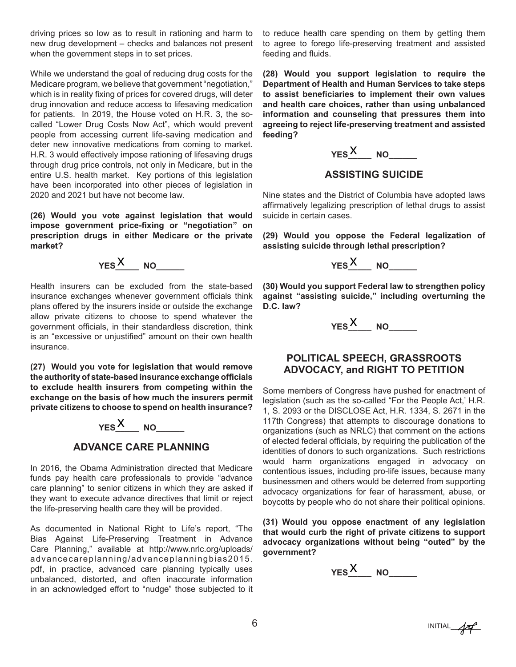driving prices so low as to result in rationing and harm to new drug development – checks and balances not present when the government steps in to set prices.

While we understand the goal of reducing drug costs for the Medicare program, we believe that government "negotiation," which is in reality fixing of prices for covered drugs, will deter drug innovation and reduce access to lifesaving medication for patients. In 2019, the House voted on H.R. 3, the socalled "Lower Drug Costs Now Act", which would prevent people from accessing current life-saving medication and deter new innovative medications from coming to market. H.R. 3 would effectively impose rationing of lifesaving drugs through drug price controls, not only in Medicare, but in the entire U.S. health market. Key portions of this legislation have been incorporated into other pieces of legislation in 2020 and 2021 but have not become law.

**(26) Would you vote against legislation that would impose government price-fixing or "negotiation" on prescription drugs in either Medicare or the private market?**



Health insurers can be excluded from the state-based insurance exchanges whenever government officials think plans offered by the insurers inside or outside the exchange allow private citizens to choose to spend whatever the government officials, in their standardless discretion, think is an "excessive or unjustified" amount on their own health insurance.

**(27) Would you vote for legislation that would remove the authority of state-based insurance exchange officials to exclude health insurers from competing within the exchange on the basis of how much the insurers permit private citizens to choose to spend on health insurance?**



## **ADVANCE CARE PLANNING**

In 2016, the Obama Administration directed that Medicare funds pay health care professionals to provide "advance care planning" to senior citizens in which they are asked if they want to execute advance directives that limit or reject the life-preserving health care they will be provided.

As documented in National Right to Life's report, "The Bias Against Life-Preserving Treatment in Advance Care Planning," available at http://www.nrlc.org/uploads/ advancecareplanning/advanceplanningbias2015. pdf, in practice, advanced care planning typically uses unbalanced, distorted, and often inaccurate information in an acknowledged effort to "nudge" those subjected to it to reduce health care spending on them by getting them to agree to forego life-preserving treatment and assisted feeding and fluids.

**(28) Would you support legislation to require the Department of Health and Human Services to take steps to assist beneficiaries to implement their own values and health care choices, rather than using unbalanced information and counseling that pressures them into agreeing to reject life-preserving treatment and assisted feeding?**

**YES**<sup>*X*</sup>\_\_\_\_ NO\_\_\_\_\_\_\_

## **ASSISTING SUICIDE**

Nine states and the District of Columbia have adopted laws affirmatively legalizing prescription of lethal drugs to assist suicide in certain cases.

**(29) Would you oppose the Federal legalization of assisting suicide through lethal prescription?**



**(30) Would you support Federal law to strengthen policy against "assisting suicide," including overturning the D.C. law?**



## **POLITICAL SPEECH, GRASSROOTS ADVOCACY, and RIGHT TO PETITION**

Some members of Congress have pushed for enactment of legislation (such as the so-called "For the People Act,' H.R. 1, S. 2093 or the DISCLOSE Act, H.R. 1334, S. 2671 in the 117th Congress) that attempts to discourage donations to organizations (such as NRLC) that comment on the actions of elected federal officials, by requiring the publication of the identities of donors to such organizations. Such restrictions would harm organizations engaged in advocacy on contentious issues, including pro-life issues, because many businessmen and others would be deterred from supporting advocacy organizations for fear of harassment, abuse, or boycotts by people who do not share their political opinions.

**(31) Would you oppose enactment of any legislation that would curb the right of private citizens to support advocacy organizations without being "outed" by the government?**



6 INITIAL  $\mathcal{H}$